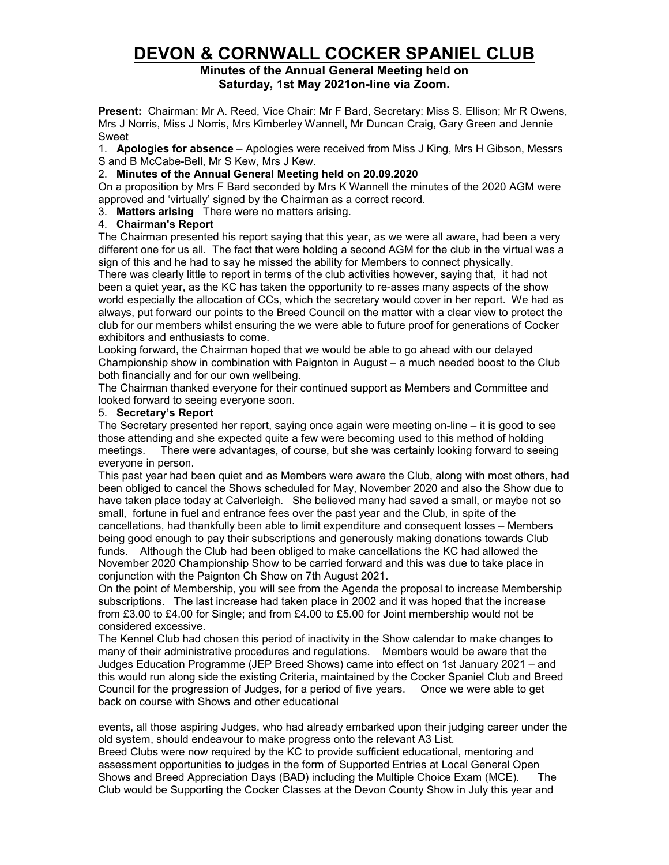# **DEVON & CORNWALL COCKER SPANIEL CLUB**

## **Minutes of the Annual General Meeting held on Saturday, 1st May 2021on-line via Zoom.**

**Present:** Chairman: Mr A. Reed, Vice Chair: Mr F Bard, Secretary: Miss S. Ellison; Mr R Owens, Mrs J Norris, Miss J Norris, Mrs Kimberley Wannell, Mr Duncan Craig, Gary Green and Jennie Sweet

1. **Apologies for absence** – Apologies were received from Miss J King, Mrs H Gibson, Messrs S and B McCabe-Bell, Mr S Kew, Mrs J Kew.

# 2. **Minutes of the Annual General Meeting held on 20.09.2020**

On a proposition by Mrs F Bard seconded by Mrs K Wannell the minutes of the 2020 AGM were approved and 'virtually' signed by the Chairman as a correct record.

3. **Matters arising** There were no matters arising.

### 4. **Chairman's Report**

The Chairman presented his report saying that this year, as we were all aware, had been a very different one for us all. The fact that were holding a second AGM for the club in the virtual was a sign of this and he had to say he missed the ability for Members to connect physically.

There was clearly little to report in terms of the club activities however, saying that, it had not been a quiet year, as the KC has taken the opportunity to re-asses many aspects of the show world especially the allocation of CCs, which the secretary would cover in her report. We had as always, put forward our points to the Breed Council on the matter with a clear view to protect the club for our members whilst ensuring the we were able to future proof for generations of Cocker exhibitors and enthusiasts to come.

Looking forward, the Chairman hoped that we would be able to go ahead with our delayed Championship show in combination with Paignton in August – a much needed boost to the Club both financially and for our own wellbeing.

The Chairman thanked everyone for their continued support as Members and Committee and looked forward to seeing everyone soon.

### 5. **Secretary's Report**

The Secretary presented her report, saying once again were meeting on-line – it is good to see those attending and she expected quite a few were becoming used to this method of holding meetings. There were advantages, of course, but she was certainly looking forward to seeing everyone in person.

This past year had been quiet and as Members were aware the Club, along with most others, had been obliged to cancel the Shows scheduled for May, November 2020 and also the Show due to have taken place today at Calverleigh. She believed many had saved a small, or maybe not so small, fortune in fuel and entrance fees over the past year and the Club, in spite of the cancellations, had thankfully been able to limit expenditure and consequent losses – Members being good enough to pay their subscriptions and generously making donations towards Club funds. Although the Club had been obliged to make cancellations the KC had allowed the November 2020 Championship Show to be carried forward and this was due to take place in conjunction with the Paignton Ch Show on 7th August 2021.

On the point of Membership, you will see from the Agenda the proposal to increase Membership subscriptions. The last increase had taken place in 2002 and it was hoped that the increase from £3.00 to £4.00 for Single; and from £4.00 to £5.00 for Joint membership would not be considered excessive.

The Kennel Club had chosen this period of inactivity in the Show calendar to make changes to many of their administrative procedures and regulations. Members would be aware that the Judges Education Programme (JEP Breed Shows) came into effect on 1st January 2021 – and this would run along side the existing Criteria, maintained by the Cocker Spaniel Club and Breed Council for the progression of Judges, for a period of five years. Once we were able to get back on course with Shows and other educational

events, all those aspiring Judges, who had already embarked upon their judging career under the old system, should endeavour to make progress onto the relevant A3 List.

Breed Clubs were now required by the KC to provide sufficient educational, mentoring and assessment opportunities to judges in the form of Supported Entries at Local General Open Shows and Breed Appreciation Days (BAD) including the Multiple Choice Exam (MCE). The Club would be Supporting the Cocker Classes at the Devon County Show in July this year and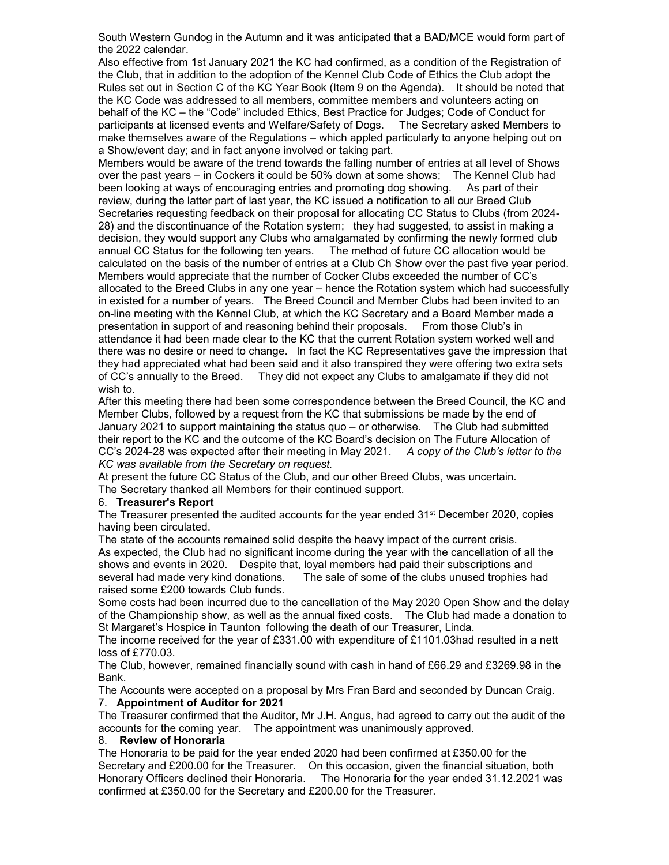South Western Gundog in the Autumn and it was anticipated that a BAD/MCE would form part of the 2022 calendar.

Also effective from 1st January 2021 the KC had confirmed, as a condition of the Registration of the Club, that in addition to the adoption of the Kennel Club Code of Ethics the Club adopt the Rules set out in Section C of the KC Year Book (Item 9 on the Agenda). It should be noted that the KC Code was addressed to all members, committee members and volunteers acting on behalf of the KC – the "Code" included Ethics, Best Practice for Judges; Code of Conduct for participants at licensed events and Welfare/Safety of Dogs. The Secretary asked Members to make themselves aware of the Regulations – which appled particularly to anyone helping out on a Show/event day; and in fact anyone involved or taking part.

Members would be aware of the trend towards the falling number of entries at all level of Shows over the past years – in Cockers it could be 50% down at some shows; The Kennel Club had been looking at ways of encouraging entries and promoting dog showing. As part of their review, during the latter part of last year, the KC issued a notification to all our Breed Club Secretaries requesting feedback on their proposal for allocating CC Status to Clubs (from 2024- 28) and the discontinuance of the Rotation system; they had suggested, to assist in making a decision, they would support any Clubs who amalgamated by confirming the newly formed club annual CC Status for the following ten years. The method of future CC allocation would be calculated on the basis of the number of entries at a Club Ch Show over the past five year period. Members would appreciate that the number of Cocker Clubs exceeded the number of CC's allocated to the Breed Clubs in any one year – hence the Rotation system which had successfully in existed for a number of years. The Breed Council and Member Clubs had been invited to an on-line meeting with the Kennel Club, at which the KC Secretary and a Board Member made a presentation in support of and reasoning behind their proposals. From those Club's in attendance it had been made clear to the KC that the current Rotation system worked well and there was no desire or need to change. In fact the KC Representatives gave the impression that they had appreciated what had been said and it also transpired they were offering two extra sets of CC's annually to the Breed. They did not expect any Clubs to amalgamate if they did not wish to.

After this meeting there had been some correspondence between the Breed Council, the KC and Member Clubs, followed by a request from the KC that submissions be made by the end of January 2021 to support maintaining the status quo – or otherwise. The Club had submitted their report to the KC and the outcome of the KC Board's decision on The Future Allocation of CC's 2024-28 was expected after their meeting in May 2021. *A copy of the Club's letter to the KC was available from the Secretary on request.*

At present the future CC Status of the Club, and our other Breed Clubs, was uncertain. The Secretary thanked all Members for their continued support.

#### 6. **Treasurer's Report**

The Treasurer presented the audited accounts for the year ended 31<sup>st</sup> December 2020, copies having been circulated.

The state of the accounts remained solid despite the heavy impact of the current crisis. As expected, the Club had no significant income during the year with the cancellation of all the shows and events in 2020. Despite that, loyal members had paid their subscriptions and several had made very kind donations. The sale of some of the clubs unused trophies h The sale of some of the clubs unused trophies had raised some £200 towards Club funds.

Some costs had been incurred due to the cancellation of the May 2020 Open Show and the delay of the Championship show, as well as the annual fixed costs. The Club had made a donation to St Margaret's Hospice in Taunton following the death of our Treasurer, Linda.

The income received for the year of £331.00 with expenditure of £1101.03had resulted in a nett loss of £770.03.

The Club, however, remained financially sound with cash in hand of £66.29 and £3269.98 in the Bank.

The Accounts were accepted on a proposal by Mrs Fran Bard and seconded by Duncan Craig. 7. **Appointment of Auditor for 2021**

The Treasurer confirmed that the Auditor, Mr J.H. Angus, had agreed to carry out the audit of the accounts for the coming year. The appointment was unanimously approved.

#### 8. **Review of Honoraria**

The Honoraria to be paid for the year ended 2020 had been confirmed at £350.00 for the Secretary and £200.00 for the Treasurer. On this occasion, given the financial situation, both Honorary Officers declined their Honoraria. The Honoraria for the year ended 31.12.2021 was confirmed at £350.00 for the Secretary and £200.00 for the Treasurer.